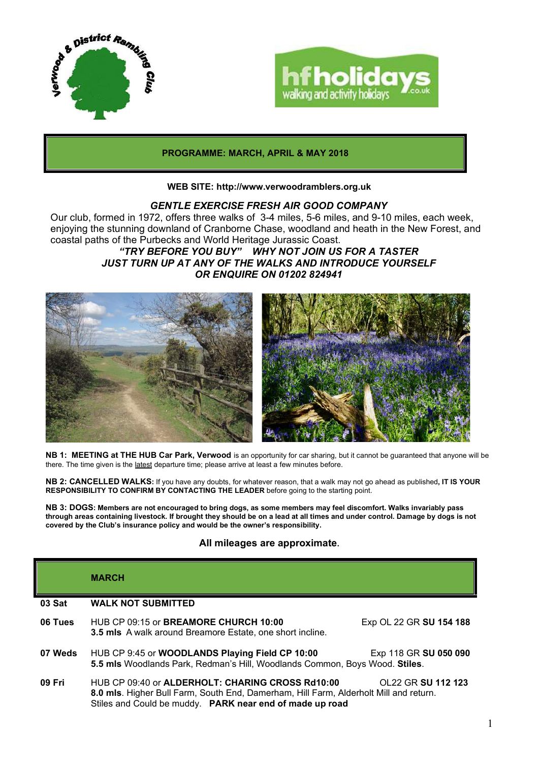



## **PROGRAMME: MARCH, APRIL & MAY 2018**

#### **WEB SITE: http://www.verwoodramblers.org.uk**

## *GENTLE EXERCISE FRESH AIR GOOD COMPANY*

Our club, formed in 1972, offers three walks of 3-4 miles, 5-6 miles, and 9-10 miles, each week, enjoying the stunning downland of Cranborne Chase, woodland and heath in the New Forest, and coastal paths of the Purbecks and World Heritage Jurassic Coast.

# *"TRY BEFORE YOU BUY" WHY NOT JOIN US FOR A TASTER JUST TURN UP AT ANY OF THE WALKS AND INTRODUCE YOURSELF OR ENQUIRE ON 01202 824941*



**NB 1: MEETING at THE HUB Car Park, Verwood** is an opportunity for car sharing, but it cannot be guaranteed that anyone will be there. The time given is the latest departure time; please arrive at least a few minutes before.

**NB 2: CANCELLED WALKS:** If you have any doubts, for whatever reason, that a walk may not go ahead as published**, IT IS YOUR RESPONSIBILITY TO CONFIRM BY CONTACTING THE LEADER** before going to the starting point.

**NB 3: DOGS: Members are not encouraged to bring dogs, as some members may feel discomfort. Walks invariably pass through areas containing livestock. If brought they should be on a lead at all times and under control. Damage by dogs is not covered by the Club's insurance policy and would be the owner's responsibility.**

## **All mileages are approximate.**

|         | <b>MARCH</b>                                                                                                                                                                                          |                         |
|---------|-------------------------------------------------------------------------------------------------------------------------------------------------------------------------------------------------------|-------------------------|
| 03 Sat  | <b>WALK NOT SUBMITTED</b>                                                                                                                                                                             |                         |
| 06 Tues | HUB CP 09:15 or <b>BREAMORE CHURCH 10:00</b><br><b>3.5 mls</b> A walk around Breamore Estate, one short incline.                                                                                      | Exp OL 22 GR SU 154 188 |
| 07 Weds | HUB CP 9:45 or WOODLANDS Playing Field CP 10:00<br>5.5 mls Woodlands Park, Redman's Hill, Woodlands Common, Boys Wood. Stiles.                                                                        | Exp 118 GR SU 050 090   |
| 09 Fri  | HUB CP 09:40 or ALDERHOLT: CHARING CROSS Rd10:00<br>8.0 mls. Higher Bull Farm, South End, Damerham, Hill Farm, Alderholt Mill and return.<br>Stiles and Could be muddy. PARK near end of made up road | OL22 GR SU 112 123      |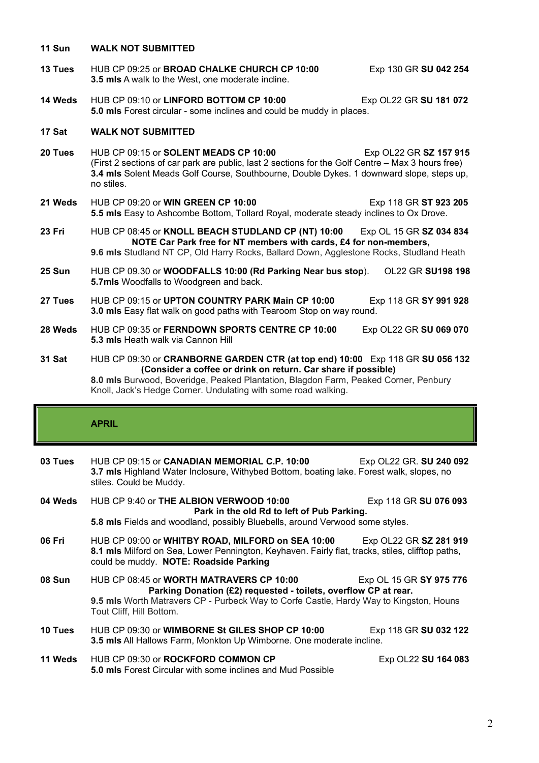#### **11 Sun WALK NOT SUBMITTED**

- **13 Tues HUB CP 09:25 or BROAD CHALKE CHURCH CP 10:00** Exp 130 GR SU 042 254 **3.5 mls** A walk to the West, one moderate incline.
- **14 Weds** HUB CP 09:10 or **LINFORD BOTTOM CP 10:00** Exp OL22 GR **SU 181 072 5.0 mls** Forest circular - some inclines and could be muddy in places.

### **17 Sat WALK NOT SUBMITTED**

- **20 Tues** HUB CP 09:15 or **SOLENT MEADS CP 10:00** Exp OL22 GR **SZ 157 915**  (First 2 sections of car park are public, last 2 sections for the Golf Centre – Max 3 hours free) **3.4 mls** Solent Meads Golf Course, Southbourne, Double Dykes. 1 downward slope, steps up, no stiles.
- **21 Weds** HUB CP 09:20 or **WIN GREEN CP 10:00** Exp 118 GR **ST 923 205 5.5 mls** Easy to Ashcombe Bottom, Tollard Royal, moderate steady inclines to Ox Drove.
- **23 Fri** HUB CP 08:45 or **KNOLL BEACH STUDLAND CP (NT) 10:00** Exp OL 15 GR **SZ 034 834 NOTE Car Park free for NT members with cards, £4 for non-members, 9.6 mls** Studland NT CP, Old Harry Rocks, Ballard Down, Agglestone Rocks, Studland Heath
- **25 Sun** HUB CP 09.30 or **WOODFALLS 10:00 (Rd Parking Near bus stop**). OL22 GR **SU198 198 5.7mls** Woodfalls to Woodgreen and back.
- **27 Tues** HUB CP 09:15 or **UPTON COUNTRY PARK Main CP 10:00** Exp 118 GR **SY 991 928 3.0 mls** Easy flat walk on good paths with Tearoom Stop on way round.
- **28 Weds** HUB CP 09:35 or **FERNDOWN SPORTS CENTRE CP 10:00** Exp OL22 GR **SU 069 070 5.3 mls** Heath walk via Cannon Hill
- **31 Sat** HUB CP 09:30 or **CRANBORNE GARDEN CTR (at top end) 10:00** Exp 118 GR **SU 056 132 (Consider a coffee or drink on return. Car share if possible)**

**8.0 mls** Burwood, Boveridge, Peaked Plantation, Blagdon Farm, Peaked Corner, Penbury Knoll, Jack's Hedge Corner. Undulating with some road walking.

## **APRIL**

| 03 Tues | HUB CP 09:15 or <b>CANADIAN MEMORIAL C.P. 10:00</b><br>3.7 mls Highland Water Inclosure, Withybed Bottom, boating lake. Forest walk, slopes, no<br>stiles. Could be Muddy.                     | Exp OL22 GR. SU 240 092       |
|---------|------------------------------------------------------------------------------------------------------------------------------------------------------------------------------------------------|-------------------------------|
| 04 Weds | HUB CP 9:40 or THE ALBION VERWOOD 10:00<br>Exp 118 GR SU 076 093<br>Park in the old Rd to left of Pub Parking.<br>5.8 mls Fields and woodland, possibly Bluebells, around Verwood some styles. |                               |
| 06 Fri  | HUB CP 09:00 or WHITBY ROAD, MILFORD on SEA 10:00                                                                                                                                              | Exp OL22 GR <b>SZ 281 919</b> |

- **8.1 mls** Milford on Sea, Lower Pennington, Keyhaven. Fairly flat, tracks, stiles, clifftop paths, could be muddy. **NOTE: Roadside Parking**
- **08 Sun** HUB CP 08:45 or **WORTH MATRAVERS CP 10:00** Exp OL 15 GR SY 975 776 **Parking Donation (£2) requested - toilets, overflow CP at rear. 9.5 mls** Worth Matravers CP - Purbeck Way to Corfe Castle, Hardy Way to Kingston, Houns Tout Cliff, Hill Bottom.
- **10 Tues** HUB CP 09:30 or **WIMBORNE St GILES SHOP CP 10:00** Exp 118 GR **SU 032 122 3.5 mls** All Hallows Farm, Monkton Up Wimborne. One moderate incline.
- 11 Weds HUB CP 09:30 or **ROCKFORD COMMON CP** Exp OL22 SU 164 083 **5.0 mls** Forest Circular with some inclines and Mud Possible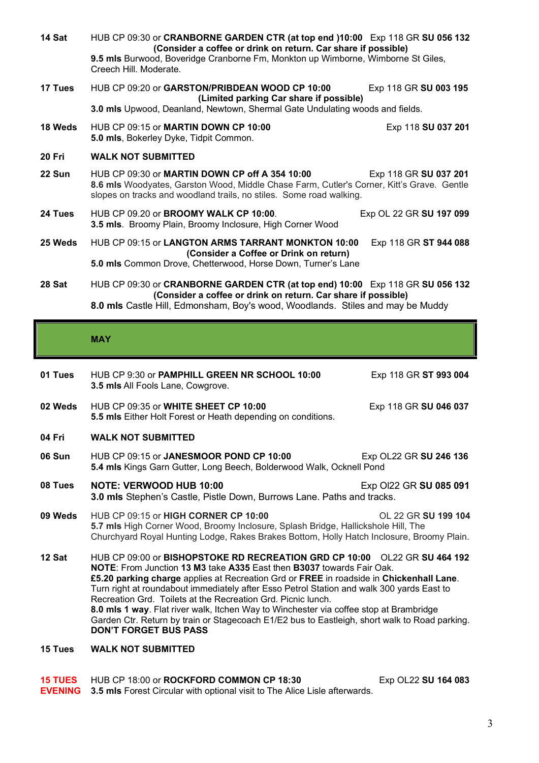| 14 Sat        | HUB CP 09:30 or <b>CRANBORNE GARDEN CTR (at top end )10:00</b> Exp 118 GR SU 056 132<br>(Consider a coffee or drink on return. Car share if possible)<br>9.5 mls Burwood, Boveridge Cranborne Fm, Monkton up Wimborne, Wimborne St Giles,<br>Creech Hill, Moderate. |  |
|---------------|---------------------------------------------------------------------------------------------------------------------------------------------------------------------------------------------------------------------------------------------------------------------|--|
| 17 Tues       | HUB CP 09:20 or GARSTON/PRIBDEAN WOOD CP 10:00<br>Exp 118 GR SU 003 195<br>(Limited parking Car share if possible)<br>3.0 mls Upwood, Deanland, Newtown, Shermal Gate Undulating woods and fields.                                                                  |  |
| 18 Weds       | HUB CP 09:15 or MARTIN DOWN CP 10:00<br>Exp 118 SU 037 201<br>5.0 mls, Bokerley Dyke, Tidpit Common.                                                                                                                                                                |  |
| <b>20 Fri</b> | <b>WALK NOT SUBMITTED</b>                                                                                                                                                                                                                                           |  |
| 22 Sun        | HUB CP 09:30 or MARTIN DOWN CP off A 354 10:00<br>Exp 118 GR SU 037 201<br>8.6 mls Woodyates, Garston Wood, Middle Chase Farm, Cutler's Corner, Kitt's Grave. Gentle<br>slopes on tracks and woodland trails, no stiles. Some road walking.                         |  |
| 24 Tues       | HUB CP 09.20 or BROOMY WALK CP 10:00.<br>Exp OL 22 GR SU 197 099<br>3.5 mls. Broomy Plain, Broomy Inclosure, High Corner Wood                                                                                                                                       |  |
| 25 Weds       | HUB CP 09:15 or LANGTON ARMS TARRANT MONKTON 10:00<br>Exp 118 GR ST 944 088<br>(Consider a Coffee or Drink on return)<br>5.0 mls Common Drove, Chetterwood, Horse Down, Turner's Lane                                                                               |  |
| 28 Sat        | HUB CP 09:30 or CRANBORNE GARDEN CTR (at top end) 10:00 Exp 118 GR SU 056 132<br>(Consider a coffee or drink on return. Car share if possible)<br>8.0 mls Castle Hill, Edmonsham, Boy's wood, Woodlands. Stiles and may be Muddy                                    |  |
|               |                                                                                                                                                                                                                                                                     |  |

## **MAY**

| 01 Tues | HUB CP 9:30 or <b>PAMPHILL GREEN NR SCHOOL 10:00</b><br>3.5 mls All Fools Lane, Cowgrove.                                                                                                                                                                                                                                                                                                                                                                                                                                                                                                                                             | Exp 118 GR ST 993 004  |
|---------|---------------------------------------------------------------------------------------------------------------------------------------------------------------------------------------------------------------------------------------------------------------------------------------------------------------------------------------------------------------------------------------------------------------------------------------------------------------------------------------------------------------------------------------------------------------------------------------------------------------------------------------|------------------------|
| 02 Weds | HUB CP 09:35 or WHITE SHEET CP 10:00<br>5.5 mls Either Holt Forest or Heath depending on conditions.                                                                                                                                                                                                                                                                                                                                                                                                                                                                                                                                  | Exp 118 GR SU 046 037  |
| 04 Fri  | <b>WALK NOT SUBMITTED</b>                                                                                                                                                                                                                                                                                                                                                                                                                                                                                                                                                                                                             |                        |
| 06 Sun  | HUB CP 09:15 or JANESMOOR POND CP 10:00<br>Exp OL22 GR SU 246 136<br>5.4 mls Kings Garn Gutter, Long Beech, Bolderwood Walk, Ocknell Pond                                                                                                                                                                                                                                                                                                                                                                                                                                                                                             |                        |
| 08 Tues | <b>NOTE: VERWOOD HUB 10:00</b><br>3.0 mls Stephen's Castle, Pistle Down, Burrows Lane. Paths and tracks.                                                                                                                                                                                                                                                                                                                                                                                                                                                                                                                              | Exp OI22 GR SU 085 091 |
| 09 Weds | HUB CP 09:15 or HIGH CORNER CP 10:00<br>OL 22 GR SU 199 104<br>5.7 mls High Corner Wood, Broomy Inclosure, Splash Bridge, Hallickshole Hill, The<br>Churchyard Royal Hunting Lodge, Rakes Brakes Bottom, Holly Hatch Inclosure, Broomy Plain.                                                                                                                                                                                                                                                                                                                                                                                         |                        |
| 12 Sat  | HUB CP 09:00 or BISHOPSTOKE RD RECREATION GRD CP 10:00 OL22 GR SU 464 192<br>NOTE: From Junction 13 M3 take A335 East then B3037 towards Fair Oak.<br>£5.20 parking charge applies at Recreation Grd or FREE in roadside in Chickenhall Lane.<br>Turn right at roundabout immediately after Esso Petrol Station and walk 300 yards East to<br>Recreation Grd. Toilets at the Recreation Grd. Picnic lunch.<br>8.0 mls 1 way. Flat river walk, Itchen Way to Winchester via coffee stop at Brambridge<br>Garden Ctr. Return by train or Stagecoach E1/E2 bus to Eastleigh, short walk to Road parking.<br><b>DON'T FORGET BUS PASS</b> |                        |
| 15 Tues | <b>WALK NOT SUBMITTED</b>                                                                                                                                                                                                                                                                                                                                                                                                                                                                                                                                                                                                             |                        |

| 15 TUES HUB CP 18:00 or ROCKFORD COMMON CP 18:30                                          | Exp OL22 SU 164 083 |
|-------------------------------------------------------------------------------------------|---------------------|
| <b>EVENING</b> 3.5 mls Forest Circular with optional visit to The Alice Lisle afterwards. |                     |